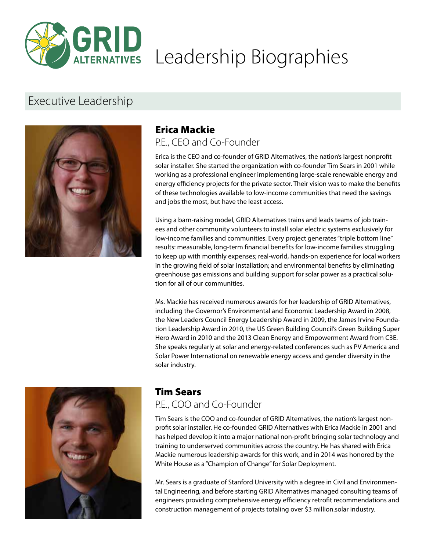

# **GRID**<br>ALTERNATIVES Leadership Biographies

## Executive Leadership



#### Erica Mackie P.E., CEO and Co-Founder

Erica is the CEO and co-founder of GRID Alternatives, the nation's largest nonprofit solar installer. She started the organization with co-founder Tim Sears in 2001 while working as a professional engineer implementing large-scale renewable energy and energy efficiency projects for the private sector. Their vision was to make the benefits of these technologies available to low-income communities that need the savings and jobs the most, but have the least access.

Using a barn-raising model, GRID Alternatives trains and leads teams of job trainees and other community volunteers to install solar electric systems exclusively for low-income families and communities. Every project generates "triple bottom line" results: measurable, long-term financial benefits for low-income families struggling to keep up with monthly expenses; real-world, hands-on experience for local workers in the growing field of solar installation; and environmental benefits by eliminating greenhouse gas emissions and building support for solar power as a practical solution for all of our communities.

Ms. Mackie has received numerous awards for her leadership of GRID Alternatives, including the Governor's Environmental and Economic Leadership Award in 2008, the New Leaders Council Energy Leadership Award in 2009, the James Irvine Foundation Leadership Award in 2010, the US Green Building Council's Green Building Super Hero Award in 2010 and the 2013 Clean Energy and Empowerment Award from C3E. She speaks regularly at solar and energy-related conferences such as PV America and Solar Power International on renewable energy access and gender diversity in the solar industry.



## Tim Sears

## P.E., COO and Co-Founder

Tim Sears is the COO and co-founder of GRID Alternatives, the nation's largest nonprofit solar installer. He co-founded GRID Alternatives with Erica Mackie in 2001 and has helped develop it into a major national non-profit bringing solar technology and training to underserved communities across the country. He has shared with Erica Mackie numerous leadership awards for this work, and in 2014 was honored by the White House as a "Champion of Change" for Solar Deployment.

Mr. Sears is a graduate of Stanford University with a degree in Civil and Environmental Engineering, and before starting GRID Alternatives managed consulting teams of engineers providing comprehensive energy efficiency retrofit recommendations and construction management of projects totaling over \$3 million.solar industry.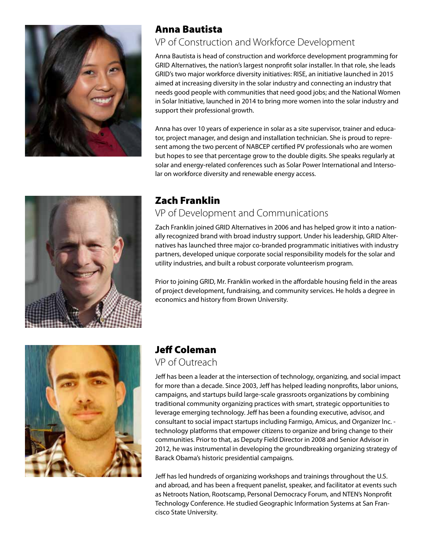

## Anna Bautista

## VP of Construction and Workforce Development

Anna Bautista is head of construction and workforce development programming for GRID Alternatives, the nation's largest nonprofit solar installer. In that role, she leads GRID's two major workforce diversity initiatives: RISE, an initiative launched in 2015 aimed at increasing diversity in the solar industry and connecting an industry that needs good people with communities that need good jobs; and the National Women in Solar Initiative, launched in 2014 to bring more women into the solar industry and support their professional growth.

Anna has over 10 years of experience in solar as a site supervisor, trainer and educator, project manager, and design and installation technician. She is proud to represent among the two percent of NABCEP certified PV professionals who are women but hopes to see that percentage grow to the double digits. She speaks regularly at solar and energy-related conferences such as Solar Power International and Intersolar on workforce diversity and renewable energy access.

## Zach Franklin

## VP of Development and Communications

Zach Franklin joined GRID Alternatives in 2006 and has helped grow it into a nationally recognized brand with broad industry support. Under his leadership, GRID Alternatives has launched three major co-branded programmatic initiatives with industry partners, developed unique corporate social responsibility models for the solar and utility industries, and built a robust corporate volunteerism program.

Prior to joining GRID, Mr. Franklin worked in the affordable housing field in the areas of project development, fundraising, and community services. He holds a degree in economics and history from Brown University.



## Jeff Coleman

#### VP of Outreach

Jeff has been a leader at the intersection of technology, organizing, and social impact for more than a decade. Since 2003, Jeff has helped leading nonprofits, labor unions, campaigns, and startups build large-scale grassroots organizations by combining traditional community organizing practices with smart, strategic opportunities to leverage emerging technology. Jeff has been a founding executive, advisor, and consultant to social impact startups including Farmigo, Amicus, and Organizer Inc. technology platforms that empower citizens to organize and bring change to their communities. Prior to that, as Deputy Field Director in 2008 and Senior Advisor in 2012, he was instrumental in developing the groundbreaking organizing strategy of Barack Obama's historic presidential campaigns.

Jeff has led hundreds of organizing workshops and trainings throughout the U.S. and abroad, and has been a frequent panelist, speaker, and facilitator at events such as Netroots Nation, Rootscamp, Personal Democracy Forum, and NTEN's Nonprofit Technology Conference. He studied Geographic Information Systems at San Francisco State University.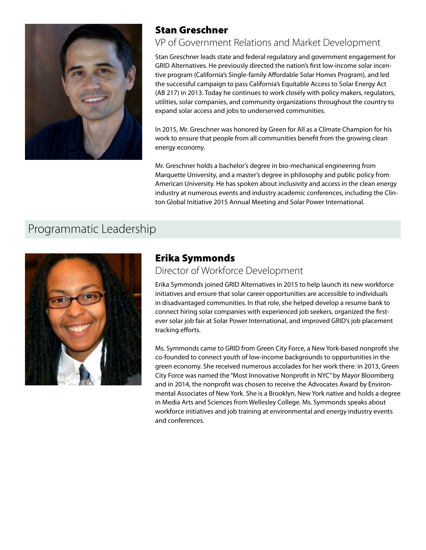

## Stan Greschner

## VP of Government Relations and Market Development

Stan Greschner leads state and federal regulatory and government engagement for GRID Alternatives. He previously directed the nation's first low-income solar incentive program (California's Single-family Affordable Solar Homes Program), and led the successful campaign to pass California's Equitable Access to Solar Energy Act (AB 217) in 2013. Today he continues to work closely with policy makers, regulators, utilities, solar companies, and community organizations throughout the country to expand solar access and jobs to underserved communities.

In 2015, Mr. Greschner was honored by Green for All as a Climate Champion for his work to ensure that people from all communities benefit from the growing clean energy economy.

Mr. Greschner holds a bachelor's degree in bio-mechanical engineering from Marquette University, and a master's degree in philosophy and public policy from American University. He has spoken about inclusivity and access in the clean energy industry at numerous events and industry academic conferences, including the Clinton Global Initiative 2015 Annual Meeting and Solar Power International.

## Programmatic Leadership



### Erika Symmonds

### Director of Workforce Development

Erika Symmonds joined GRID Alternatives in 2015 to help launch its new workforce initiatives and ensure that solar career opportunities are accessible to individuals in disadvantaged communities. In that role, she helped develop a resume bank to connect hiring solar companies with experienced job seekers, organized the firstever solar job fair at Solar Power International, and improved GRID's job placement tracking efforts.

Ms. Symmonds came to GRID from Green City Force, a New York-based nonprofit she co-founded to connect youth of low-income backgrounds to opportunities in the green economy. She received numerous accolades for her work there: in 2013, Green City Force was named the "Most Innovative Nonprofit in NYC" by Mayor Bloomberg and in 2014, the nonprofit was chosen to receive the Advocates Award by Environmental Associates of New York. She is a Brooklyn, New York native and holds a degree in Media Arts and Sciences from Wellesley College. Ms. Symmonds speaks about workforce initiatives and job training at environmental and energy industry events and conferences.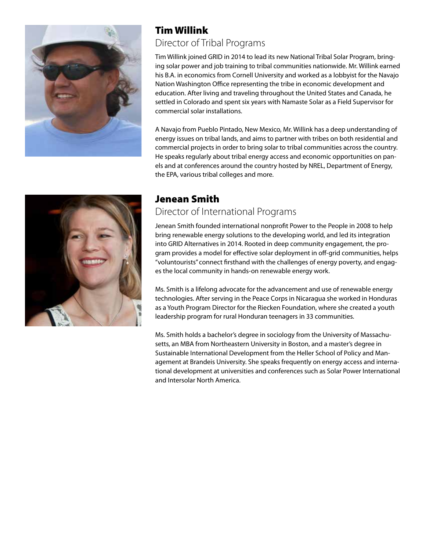

## Tim Willink Director of Tribal Programs

Tim Willink joined GRID in 2014 to lead its new National Tribal Solar Program, bringing solar power and job training to tribal communities nationwide. Mr. Willink earned his B.A. in economics from Cornell University and worked as a lobbyist for the Navajo Nation Washington Office representing the tribe in economic development and education. After living and traveling throughout the United States and Canada, he settled in Colorado and spent six years with Namaste Solar as a Field Supervisor for commercial solar installations.

A Navajo from Pueblo Pintado, New Mexico, Mr. Willink has a deep understanding of energy issues on tribal lands, and aims to partner with tribes on both residential and commercial projects in order to bring solar to tribal communities across the country. He speaks regularly about tribal energy access and economic opportunities on panels and at conferences around the country hosted by NREL, Department of Energy, the EPA, various tribal colleges and more.



## Jenean Smith

### Director of International Programs

Jenean Smith founded international nonprofit Power to the People in 2008 to help bring renewable energy solutions to the developing world, and led its integration into GRID Alternatives in 2014. Rooted in deep community engagement, the program provides a model for effective solar deployment in off-grid communities, helps "voluntourists" connect firsthand with the challenges of energy poverty, and engages the local community in hands-on renewable energy work.

Ms. Smith is a lifelong advocate for the advancement and use of renewable energy technologies. After serving in the Peace Corps in Nicaragua she worked in Honduras as a Youth Program Director for the Riecken Foundation, where she created a youth leadership program for rural Honduran teenagers in 33 communities.

Ms. Smith holds a bachelor's degree in sociology from the University of Massachusetts, an MBA from Northeastern University in Boston, and a master's degree in Sustainable International Development from the Heller School of Policy and Management at Brandeis University. She speaks frequently on energy access and international development at universities and conferences such as Solar Power International and Intersolar North America.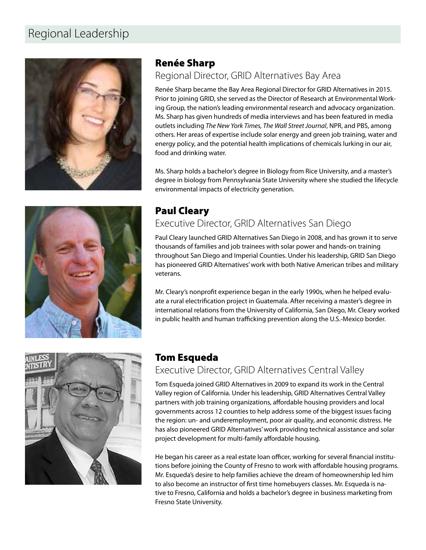## Regional Leadership





## Renée Sharp

#### Regional Director, GRID Alternatives Bay Area

Renée Sharp became the Bay Area Regional Director for GRID Alternatives in 2015. Prior to joining GRID, she served as the Director of Research at Environmental Working Group, the nation's leading environmental research and advocacy organization. Ms. Sharp has given hundreds of media interviews and has been featured in media outlets including *The New York Times, The Wall Street Journal*, NPR, and PBS, among others. Her areas of expertise include solar energy and green job training, water and energy policy, and the potential health implications of chemicals lurking in our air, food and drinking water.

Ms. Sharp holds a bachelor's degree in Biology from Rice University, and a master's degree in biology from Pennsylvania State University where she studied the lifecycle environmental impacts of electricity generation.

## Paul Cleary Executive Director, GRID Alternatives San Diego

Paul Cleary launched GRID Alternatives San Diego in 2008, and has grown it to serve thousands of families and job trainees with solar power and hands-on training throughout San Diego and Imperial Counties. Under his leadership, GRID San Diego has pioneered GRID Alternatives' work with both Native American tribes and military veterans.

Mr. Cleary's nonprofit experience began in the early 1990s, when he helped evaluate a rural electrification project in Guatemala. After receiving a master's degree in international relations from the University of California, San Diego, Mr. Cleary worked in public health and human trafficking prevention along the U.S.-Mexico border.



## Tom Esqueda

## Executive Director, GRID Alternatives Central Valley

Tom Esqueda joined GRID Alternatives in 2009 to expand its work in the Central Valley region of California. Under his leadership, GRID Alternatives Central Valley partners with job training organizations, affordable housing providers and local governments across 12 counties to help address some of the biggest issues facing the region: un- and underemployment, poor air quality, and economic distress. He has also pioneered GRID Alternatives' work providing technical assistance and solar project development for multi-family affordable housing.

He began his career as a real estate loan officer, working for several financial institutions before joining the County of Fresno to work with affordable housing programs. Mr. Esqueda's desire to help families achieve the dream of homeownership led him to also become an instructor of first time homebuyers classes. Mr. Esqueda is native to Fresno, California and holds a bachelor's degree in business marketing from Fresno State University.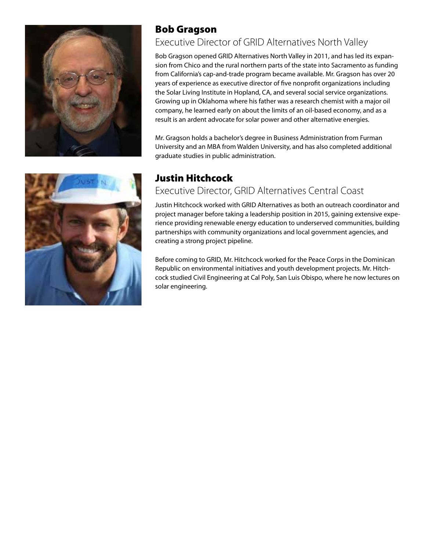



## Bob Gragson

## Executive Director of GRID Alternatives North Valley

Bob Gragson opened GRID Alternatives North Valley in 2011, and has led its expansion from Chico and the rural northern parts of the state into Sacramento as funding from California's cap-and-trade program became available. Mr. Gragson has over 20 years of experience as executive director of five nonprofit organizations including the Solar Living Institute in Hopland, CA, and several social service organizations. Growing up in Oklahoma where his father was a research chemist with a major oil company, he learned early on about the limits of an oil-based economy, and as a result is an ardent advocate for solar power and other alternative energies.

Mr. Gragson holds a bachelor's degree in Business Administration from Furman University and an MBA from Walden University, and has also completed additional graduate studies in public administration.

## Justin Hitchcock

## Executive Director, GRID Alternatives Central Coast

Justin Hitchcock worked with GRID Alternatives as both an outreach coordinator and project manager before taking a leadership position in 2015, gaining extensive experience providing renewable energy education to underserved communities, building partnerships with community organizations and local government agencies, and creating a strong project pipeline.

Before coming to GRID, Mr. Hitchcock worked for the Peace Corps in the Dominican Republic on environmental initiatives and youth development projects. Mr. Hitchcock studied Civil Engineering at Cal Poly, San Luis Obispo, where he now lectures on solar engineering.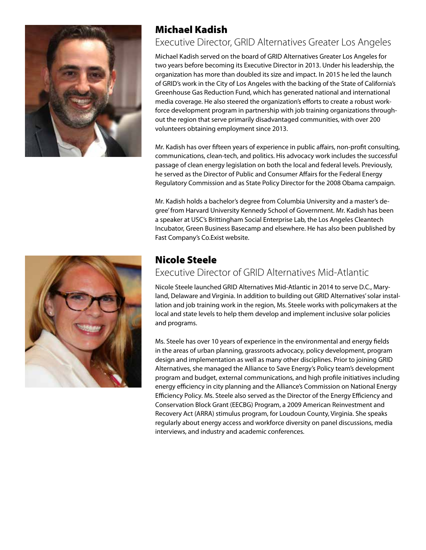

## Michael Kadish

### Executive Director, GRID Alternatives Greater Los Angeles

Michael Kadish served on the board of GRID Alternatives Greater Los Angeles for two years before becoming its Executive Director in 2013. Under his leadership, the organization has more than doubled its size and impact. In 2015 he led the launch of GRID's work in the City of Los Angeles with the backing of the State of California's Greenhouse Gas Reduction Fund, which has generated national and international media coverage. He also steered the organization's efforts to create a robust workforce development program in partnership with job training organizations throughout the region that serve primarily disadvantaged communities, with over 200 volunteers obtaining employment since 2013.

Mr. Kadish has over fifteen years of experience in public affairs, non-profit consulting, communications, clean-tech, and politics. His advocacy work includes the successful passage of clean energy legislation on both the local and federal levels. Previously, he served as the Director of Public and Consumer Affairs for the Federal Energy Regulatory Commission and as State Policy Director for the 2008 Obama campaign.

Mr. Kadish holds a bachelor's degree from Columbia University and a master's degree' from Harvard University Kennedy School of Government. Mr. Kadish has been a speaker at USC's Brittingham Social Enterprise Lab, the Los Angeles Cleantech Incubator, Green Business Basecamp and elsewhere. He has also been published by Fast Company's Co.Exist website.



## Nicole Steele

#### Executive Director of GRID Alternatives Mid-Atlantic

Nicole Steele launched GRID Alternatives Mid-Atlantic in 2014 to serve D.C., Maryland, Delaware and Virginia. In addition to building out GRID Alternatives' solar installation and job training work in the region, Ms. Steele works with policymakers at the local and state levels to help them develop and implement inclusive solar policies and programs.

Ms. Steele has over 10 years of experience in the environmental and energy fields in the areas of urban planning, grassroots advocacy, policy development, program design and implementation as well as many other disciplines. Prior to joining GRID Alternatives, she managed the Alliance to Save Energy's Policy team's development program and budget, external communications, and high profile initiatives including energy efficiency in city planning and the Alliance's Commission on National Energy Efficiency Policy. Ms. Steele also served as the Director of the Energy Efficiency and Conservation Block Grant (EECBG) Program, a 2009 American Reinvestment and Recovery Act (ARRA) stimulus program, for Loudoun County, Virginia. She speaks regularly about energy access and workforce diversity on panel discussions, media interviews, and industry and academic conferences.